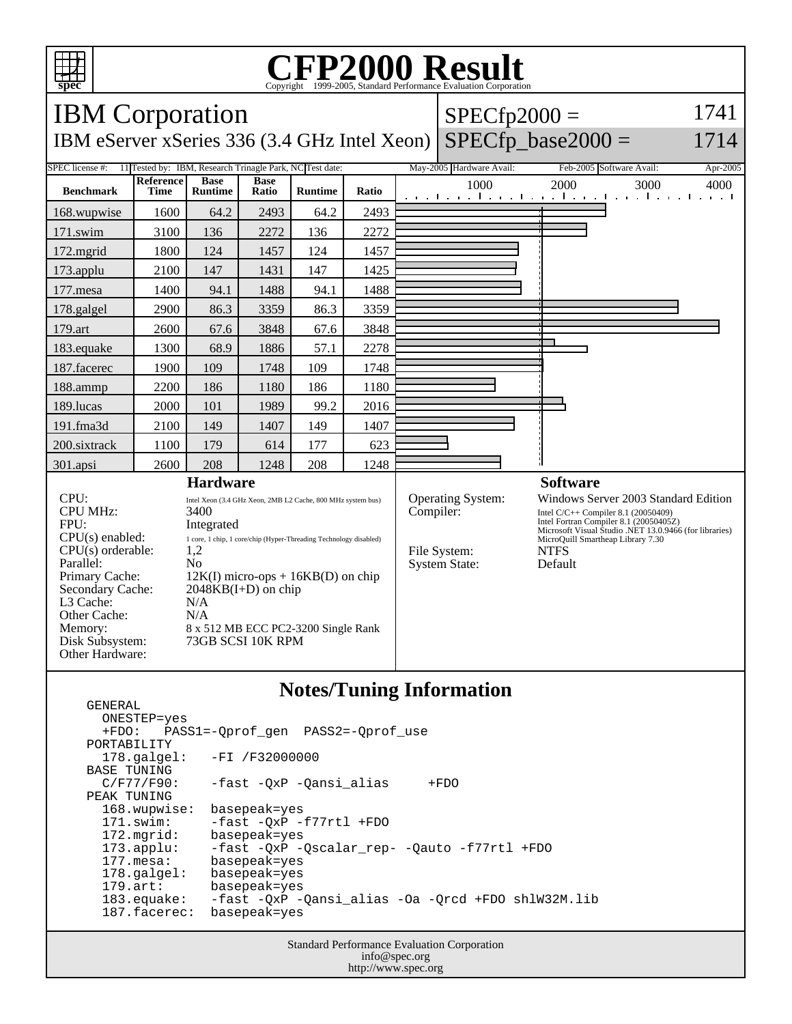

GENERAL

## C<sub>opyright</sub> ©1999-2005, Standard Performance Evaluation Corporation

| <b>IBM</b> Corporation                                                                                                                                                                                       |                                                                                                                                                                                                                                                                                                                              |                               |                      |                |       |                                                                        | $SPECfp2000 =$                                                                                                                                                                                                                                 |                                                         |                     |
|--------------------------------------------------------------------------------------------------------------------------------------------------------------------------------------------------------------|------------------------------------------------------------------------------------------------------------------------------------------------------------------------------------------------------------------------------------------------------------------------------------------------------------------------------|-------------------------------|----------------------|----------------|-------|------------------------------------------------------------------------|------------------------------------------------------------------------------------------------------------------------------------------------------------------------------------------------------------------------------------------------|---------------------------------------------------------|---------------------|
| $SPECfp\_base2000 =$<br>1714<br>IBM eServer xSeries 336 (3.4 GHz Intel Xeon)                                                                                                                                 |                                                                                                                                                                                                                                                                                                                              |                               |                      |                |       |                                                                        |                                                                                                                                                                                                                                                |                                                         |                     |
| <b>SPEC</b> license #:<br>11 Tested by: IBM, Research Trinagle Park, NC Test date:                                                                                                                           |                                                                                                                                                                                                                                                                                                                              |                               |                      |                |       |                                                                        | May-2005 Hardware Avail:                                                                                                                                                                                                                       | Feb-2005 Software Avail:                                | Apr-2005            |
| <b>Benchmark</b>                                                                                                                                                                                             | Reference<br><b>Time</b>                                                                                                                                                                                                                                                                                                     | <b>Base</b><br><b>Runtime</b> | <b>Base</b><br>Ratio | <b>Runtime</b> | Ratio |                                                                        | 1000                                                                                                                                                                                                                                           | 2000<br>3000<br>والمتوجا وتوجا وتواجه والمواجب والمواجب | 4000<br>and a state |
| 168.wupwise                                                                                                                                                                                                  | 1600                                                                                                                                                                                                                                                                                                                         | 64.2                          | 2493                 | 64.2           | 2493  |                                                                        |                                                                                                                                                                                                                                                |                                                         |                     |
| 171.swim                                                                                                                                                                                                     | 3100                                                                                                                                                                                                                                                                                                                         | 136                           | 2272                 | 136            | 2272  |                                                                        |                                                                                                                                                                                                                                                |                                                         |                     |
| 172.mgrid                                                                                                                                                                                                    | 1800                                                                                                                                                                                                                                                                                                                         | 124                           | 1457                 | 124            | 1457  |                                                                        |                                                                                                                                                                                                                                                |                                                         |                     |
| 173.applu                                                                                                                                                                                                    | 2100                                                                                                                                                                                                                                                                                                                         | 147                           | 1431                 | 147            | 1425  |                                                                        |                                                                                                                                                                                                                                                |                                                         |                     |
| 177.mesa                                                                                                                                                                                                     | 1400                                                                                                                                                                                                                                                                                                                         | 94.1                          | 1488                 | 94.1           | 1488  |                                                                        |                                                                                                                                                                                                                                                |                                                         |                     |
| 178.galgel                                                                                                                                                                                                   | 2900                                                                                                                                                                                                                                                                                                                         | 86.3                          | 3359                 | 86.3           | 3359  |                                                                        |                                                                                                                                                                                                                                                |                                                         |                     |
| 179.art                                                                                                                                                                                                      | 2600                                                                                                                                                                                                                                                                                                                         | 67.6                          | 3848                 | 67.6           | 3848  |                                                                        |                                                                                                                                                                                                                                                |                                                         |                     |
| 183.equake                                                                                                                                                                                                   | 1300                                                                                                                                                                                                                                                                                                                         | 68.9                          | 1886                 | 57.1           | 2278  |                                                                        |                                                                                                                                                                                                                                                |                                                         |                     |
| 187.facerec                                                                                                                                                                                                  | 1900                                                                                                                                                                                                                                                                                                                         | 109                           | 1748                 | 109            | 1748  |                                                                        |                                                                                                                                                                                                                                                |                                                         |                     |
| 188.ammp                                                                                                                                                                                                     | 2200                                                                                                                                                                                                                                                                                                                         | 186                           | 1180                 | 186            | 1180  |                                                                        |                                                                                                                                                                                                                                                |                                                         |                     |
| 189.lucas                                                                                                                                                                                                    | 2000                                                                                                                                                                                                                                                                                                                         | 101                           | 1989                 | 99.2           | 2016  |                                                                        |                                                                                                                                                                                                                                                |                                                         |                     |
| 191.fma3d                                                                                                                                                                                                    | 2100                                                                                                                                                                                                                                                                                                                         | 149                           | 1407                 | 149            | 1407  |                                                                        |                                                                                                                                                                                                                                                |                                                         |                     |
| 200.sixtrack                                                                                                                                                                                                 | 1100                                                                                                                                                                                                                                                                                                                         | 179                           | 614                  | 177            | 623   |                                                                        |                                                                                                                                                                                                                                                |                                                         |                     |
| 301.apsi                                                                                                                                                                                                     | 2600                                                                                                                                                                                                                                                                                                                         | 208                           | 1248                 | 208            | 1248  |                                                                        |                                                                                                                                                                                                                                                |                                                         |                     |
| <b>Hardware</b>                                                                                                                                                                                              |                                                                                                                                                                                                                                                                                                                              |                               |                      |                |       | <b>Software</b>                                                        |                                                                                                                                                                                                                                                |                                                         |                     |
| CPU:<br><b>CPU MHz:</b><br>FPU:<br>$CPU(s)$ enabled:<br>$CPU(s)$ orderable:<br>Parallel:<br>Primary Cache:<br>Secondary Cache:<br>L3 Cache:<br>Other Cache:<br>Memory:<br>Disk Subsystem:<br>Other Hardware: | Intel Xeon (3.4 GHz Xeon, 2MB L2 Cache, 800 MHz system bus)<br>3400<br>Integrated<br>1 core, 1 chip, 1 core/chip (Hyper-Threading Technology disabled)<br>1,2<br>N <sub>0</sub><br>$12K(I)$ micro-ops + $16KB(D)$ on chip<br>$2048KB(I+D)$ on chip<br>N/A<br>N/A<br>8 x 512 MB ECC PC2-3200 Single Rank<br>73GB SCSI 10K RPM |                               |                      |                |       | Operating System:<br>Compiler:<br>File System:<br><b>System State:</b> | Windows Server 2003 Standard Edition<br>Intel C/C++ Compiler 8.1 (20050409)<br>Intel Fortran Compiler 8.1 (20050405Z)<br>Microsoft Visual Studio .NET 13.0.9466 (for libraries)<br>MicroQuill Smartheap Library 7.30<br><b>NTFS</b><br>Default |                                                         |                     |

## **Notes/Tuning Information**

 ONESTEP=yes +FDO: PASS1=-Qprof\_gen PASS2=-Qprof\_use PORTABILITY<br>178.qalqel: -FI /F32000000 BASE TUNING<br>C/F77/F90: -fast -QxP -Qansi\_alias +FDO PEAK TUNING 168.wupwise: basepeak=yes 171.swim: -fast -QxP -f77rtl +FDO 172.mgrid: basepeak=yes<br>173.applu: -fast -QxP - 173.applu: -fast -QxP -Qscalar\_rep- -Qauto -f77rtl +FDO basepeak=yes<br>basepeak=yes 178.galgel:<br>179.art: 179.art: basepeak=yes<br>183.equake: -fast -QxP --fast -QxP -Qansi\_alias -Oa -Qrcd +FDO shlW32M.lib<br>basepeak=yes 187.facerec:

> Standard Performance Evaluation Corporation info@spec.org http://www.spec.org